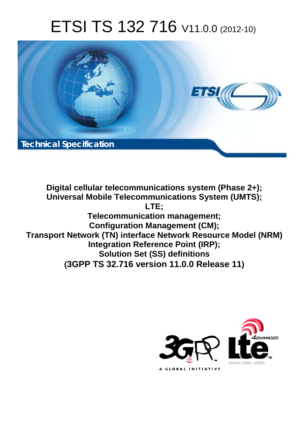# ETSI TS 132 716 V11.0.0 (2012-10)



**Digital cellular telecommunications system (Phase 2+); Universal Mobile Telecommunications System (UMTS); LTE; Telecommunication management; Configuration Management (CM); Transport Network (TN) interface Network Resource Model (NRM) Integration Reference Point (IRP); Solution Set (SS) definitions (3GPP TS 32.716 version 11.0.0 Release 11)**

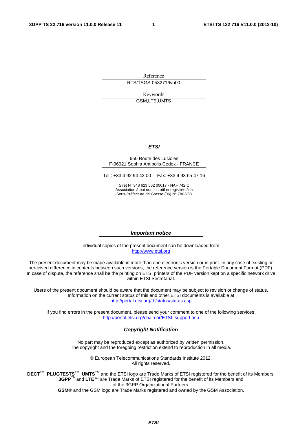Reference RTS/TSGS-0532716vb00

> Keywords GSM,LTE,UMTS

#### *ETSI*

#### 650 Route des Lucioles F-06921 Sophia Antipolis Cedex - FRANCE

Tel.: +33 4 92 94 42 00 Fax: +33 4 93 65 47 16

Siret N° 348 623 562 00017 - NAF 742 C Association à but non lucratif enregistrée à la Sous-Préfecture de Grasse (06) N° 7803/88

#### *Important notice*

Individual copies of the present document can be downloaded from: [http://www.etsi.org](http://www.etsi.org/)

The present document may be made available in more than one electronic version or in print. In any case of existing or perceived difference in contents between such versions, the reference version is the Portable Document Format (PDF). In case of dispute, the reference shall be the printing on ETSI printers of the PDF version kept on a specific network drive within ETSI Secretariat.

Users of the present document should be aware that the document may be subject to revision or change of status. Information on the current status of this and other ETSI documents is available at <http://portal.etsi.org/tb/status/status.asp>

If you find errors in the present document, please send your comment to one of the following services: [http://portal.etsi.org/chaircor/ETSI\\_support.asp](http://portal.etsi.org/chaircor/ETSI_support.asp)

#### *Copyright Notification*

No part may be reproduced except as authorized by written permission. The copyright and the foregoing restriction extend to reproduction in all media.

> © European Telecommunications Standards Institute 2012. All rights reserved.

DECT<sup>™</sup>, PLUGTESTS<sup>™</sup>, UMTS<sup>™</sup> and the ETSI logo are Trade Marks of ETSI registered for the benefit of its Members. **3GPP**TM and **LTE**™ are Trade Marks of ETSI registered for the benefit of its Members and of the 3GPP Organizational Partners.

**GSM**® and the GSM logo are Trade Marks registered and owned by the GSM Association.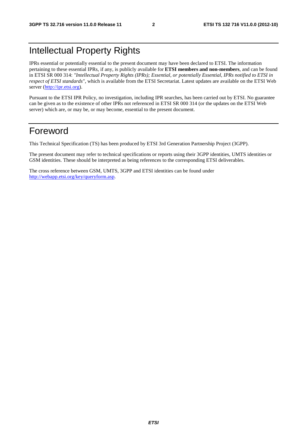# Intellectual Property Rights

IPRs essential or potentially essential to the present document may have been declared to ETSI. The information pertaining to these essential IPRs, if any, is publicly available for **ETSI members and non-members**, and can be found in ETSI SR 000 314: *"Intellectual Property Rights (IPRs); Essential, or potentially Essential, IPRs notified to ETSI in respect of ETSI standards"*, which is available from the ETSI Secretariat. Latest updates are available on the ETSI Web server ([http://ipr.etsi.org\)](http://webapp.etsi.org/IPR/home.asp).

Pursuant to the ETSI IPR Policy, no investigation, including IPR searches, has been carried out by ETSI. No guarantee can be given as to the existence of other IPRs not referenced in ETSI SR 000 314 (or the updates on the ETSI Web server) which are, or may be, or may become, essential to the present document.

### Foreword

This Technical Specification (TS) has been produced by ETSI 3rd Generation Partnership Project (3GPP).

The present document may refer to technical specifications or reports using their 3GPP identities, UMTS identities or GSM identities. These should be interpreted as being references to the corresponding ETSI deliverables.

The cross reference between GSM, UMTS, 3GPP and ETSI identities can be found under [http://webapp.etsi.org/key/queryform.asp.](http://webapp.etsi.org/key/queryform.asp)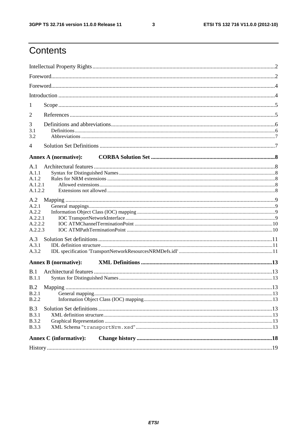$\mathbf{3}$ 

# Contents

| 1                                                      |  |
|--------------------------------------------------------|--|
| 2                                                      |  |
| 3<br>3.1<br>3.2                                        |  |
| $\overline{4}$                                         |  |
| <b>Annex A (normative):</b>                            |  |
| A.1<br>A.1.1<br>A.1.2<br>A.1.2.1<br>A.1.2.2            |  |
| A.2<br>A.2.1<br>A.2.2<br>A.2.2.1<br>A.2.2.2<br>A.2.2.3 |  |
| A.3<br>A.3.1<br>A.3.2                                  |  |
| <b>Annex B</b> (normative):                            |  |
| B.1<br>B.1.1                                           |  |
| B.2<br><b>B.2.2</b>                                    |  |
| B.3<br><b>B.3.1</b><br><b>B.3.2</b><br><b>B.3.3</b>    |  |
| <b>Annex C</b> (informative):                          |  |
|                                                        |  |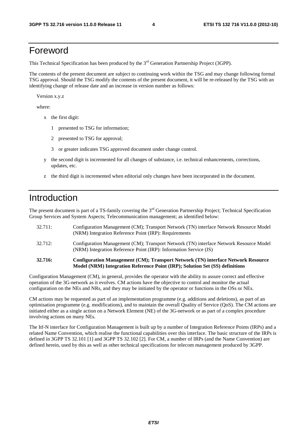### Foreword

This Technical Specification has been produced by the 3<sup>rd</sup> Generation Partnership Project (3GPP).

The contents of the present document are subject to continuing work within the TSG and may change following formal TSG approval. Should the TSG modify the contents of the present document, it will be re-released by the TSG with an identifying change of release date and an increase in version number as follows:

Version x.y.z

where:

- x the first digit:
	- 1 presented to TSG for information;
	- 2 presented to TSG for approval;
	- 3 or greater indicates TSG approved document under change control.
- y the second digit is incremented for all changes of substance, i.e. technical enhancements, corrections, updates, etc.
- z the third digit is incremented when editorial only changes have been incorporated in the document.

### Introduction

The present document is part of a TS-family covering the 3<sup>rd</sup> Generation Partnership Project; Technical Specification Group Services and System Aspects; Telecommunication management; as identified below:

| 32.716: | Configuration Management (CM); Transport Network (TN) interface Network Resource<br>Model (NRM) Integration Reference Point (IRP); Solution Set (SS) definitions |
|---------|------------------------------------------------------------------------------------------------------------------------------------------------------------------|
| 32.712: | Configuration Management (CM); Transport Network (TN) interface Network Resource Model<br>(NRM) Integration Reference Point (IRP): Information Service (IS)      |
| 32.711: | Configuration Management (CM); Transport Network (TN) interface Network Resource Model<br>(NRM) Integration Reference Point (IRP): Requirements                  |

Configuration Management (CM), in general, provides the operator with the ability to assure correct and effective operation of the 3G-network as it evolves. CM actions have the objective to control and monitor the actual configuration on the NEs and NRs, and they may be initiated by the operator or functions in the OSs or NEs.

CM actions may be requested as part of an implementation programme (e.g. additions and deletions), as part of an optimisation programme (e.g. modifications), and to maintain the overall Quality of Service (QoS). The CM actions are initiated either as a single action on a Network Element (NE) of the 3G-network or as part of a complex procedure involving actions on many NEs.

The Itf-N interface for Configuration Management is built up by a number of Integration Reference Points (IRPs) and a related Name Convention, which realise the functional capabilities over this interface. The basic structure of the IRPs is defined in 3GPP TS 32.101 [1] and 3GPP TS 32.102 [2]. For CM, a number of IRPs (and the Name Convention) are defined herein, used by this as well as other technical specifications for telecom management produced by 3GPP.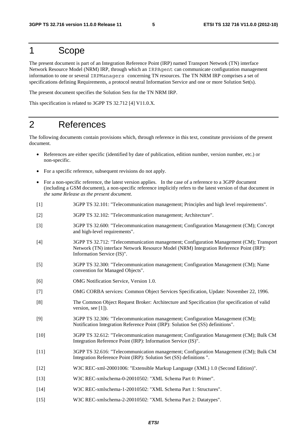### 1 Scope

The present document is part of an Integration Reference Point (IRP) named Transport Network (TN) interface Network Resource Model (NRM) IRP, through which an IRPAgent can communicate configuration management information to one or several IRPManagers concerning TN resources. The TN NRM IRP comprises a set of specifications defining Requirements, a protocol neutral Information Service and one or more Solution Set(s).

The present document specifies the Solution Sets for the TN NRM IRP.

This specification is related to 3GPP TS 32.712 [4] V11.0.X.

### 2 References

The following documents contain provisions which, through reference in this text, constitute provisions of the present document.

- References are either specific (identified by date of publication, edition number, version number, etc.) or non-specific.
- For a specific reference, subsequent revisions do not apply.
- For a non-specific reference, the latest version applies. In the case of a reference to a 3GPP document (including a GSM document), a non-specific reference implicitly refers to the latest version of that document *in the same Release as the present document*.
- [1] 3GPP TS 32.101: "Telecommunication management; Principles and high level requirements".
- [2] 3GPP TS 32.102: "Telecommunication management; Architecture".
- [3] 3GPP TS 32.600: "Telecommunication management; Configuration Management (CM); Concept and high-level requirements".
- [4] 3GPP TS 32.712: "Telecommunication management; Configuration Management (CM); Transport Network (TN) interface Network Resource Model (NRM) Integration Reference Point (IRP): Information Service (IS)".
- [5] 3GPP TS 32.300: "Telecommunication management; Configuration Management (CM); Name convention for Managed Objects".
- [6] OMG Notification Service, Version 1.0.
- [7] OMG CORBA services: Common Object Services Specification, Update: November 22, 1996.
- [8] The Common Object Request Broker: Architecture and Specification (for specification of valid version, see [1]).
- [9] 3GPP TS 32.306: "Telecommunication management; Configuration Management (CM); Notification Integration Reference Point (IRP): Solution Set (SS) definitions".
- [10] 3GPP TS 32.612: "Telecommunication management; Configuration Management (CM); Bulk CM Integration Reference Point (IRP): Information Service (IS)".
- [11] 3GPP TS 32.616: "Telecommunication management; Configuration Management (CM); Bulk CM Integration Reference Point (IRP): Solution Set (SS) definitions ".
- [12] W3C REC-xml-20001006: "Extensible Markup Language (XML) 1.0 (Second Edition)".
- [13] W3C REC-xmlschema-0-20010502: "XML Schema Part 0: Primer".
- [14] W3C REC-xmlschema-1-20010502: "XML Schema Part 1: Structures".
- [15] W3C REC-xmlschema-2-20010502: "XML Schema Part 2: Datatypes".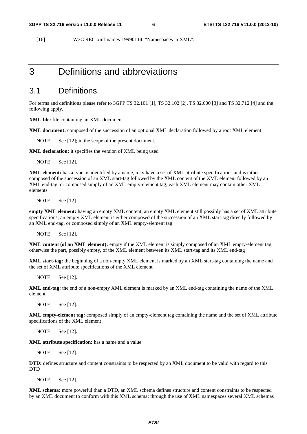[16] W3C REC-xml-names-19990114: "Namespaces in XML".

### 3 Definitions and abbreviations

#### 3.1 Definitions

For terms and definitions please refer to 3GPP TS 32.101 [1], TS 32.102 [2], TS 32.600 [3] and TS 32.712 [4] and the following apply.

**XML file:** file containing an XML document

**XML document:** composed of the succession of an optional XML declaration followed by a root XML element

NOTE: See [12]; in the scope of the present document.

**XML declaration:** it specifies the version of XML being used

NOTE: See [12].

**XML element:** has a type, is identified by a name, may have a set of XML attribute specifications and is either composed of the succession of an XML start-tag followed by the XML content of the XML element followed by an XML end-tag, or composed simply of an XML empty-element tag; each XML element may contain other XML elements

NOTE: See [12].

**empty XML element:** having an empty XML content; an empty XML element still possibly has a set of XML attribute specifications; an empty XML element is either composed of the succession of an XML start-tag directly followed by an XML end-tag, or composed simply of an XML empty-element tag

NOTE: See [12].

**XML content (of an XML element):** empty if the XML element is simply composed of an XML empty-element tag; otherwise the part, possibly empty, of the XML element between its XML start-tag and its XML end-tag

**XML start-tag:** the beginning of a non-empty XML element is marked by an XML start-tag containing the name and the set of XML attribute specifications of the XML element

NOTE: See [12].

**XML end-tag:** the end of a non-empty XML element is marked by an XML end-tag containing the name of the XML element

NOTE: See [12].

**XML empty-element tag:** composed simply of an empty-element tag containing the name and the set of XML attribute specifications of the XML element

NOTE: See [12].

**XML attribute specification:** has a name and a value

NOTE: See [12].

**DTD:** defines structure and content constraints to be respected by an XML document to be valid with regard to this DTD

NOTE: See [12].

**XML schema:** more powerful than a DTD, an XML schema defines structure and content constraints to be respected by an XML document to conform with this XML schema; through the use of XML namespaces several XML schemas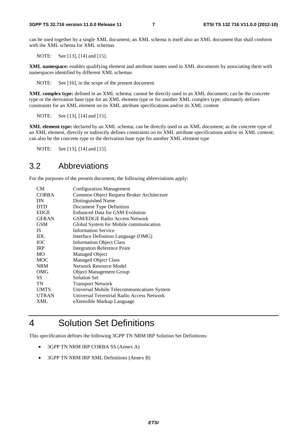can be used together by a single XML document; an XML schema is itself also an XML document that shall conform with the XML schema for XML schemas

NOTE: See [13], [14] and [15].

**XML namespace:** enables qualifying element and attribute names used in XML documents by associating them with namespaces identified by different XML schemas

NOTE: See [16], in the scope of the present document.

**XML complex type:** defined in an XML schema; cannot be directly used in an XML document; can be the concrete type or the derivation base type for an XML element type or for another XML complex type; ultimately defines constraints for an XML element on its XML attribute specifications and/or its XML content

NOTE: See [13], [14] and [15].

**XML element type:** declared by an XML schema; can be directly used in an XML document; as the concrete type of an XML element, directly or indirectly defines constraints on its XML attribute specifications and/or its XML content; can also be the concrete type or the derivation base type for another XML element type

NOTE: See [13], [14] and [15].

#### 3.2 Abbreviations

For the purposes of the present document, the following abbreviations apply:

| CМ           | <b>Configuration Management</b>            |
|--------------|--------------------------------------------|
| <b>CORBA</b> | Common Object Request Broker Architecture  |
| DN           | Distinguished Name                         |
| <b>DTD</b>   | Document Type Definition                   |
| <b>EDGE</b>  | <b>Enhanced Data for GSM Evolution</b>     |
| <b>GERAN</b> | <b>GSM/EDGE Radio Access Network</b>       |
| <b>GSM</b>   | Global System for Mobile communication     |
| IS.          | <b>Information Service</b>                 |
| IDL          | Interface Definition Language (OMG)        |
| <b>IOC</b>   | <b>Information Object Class</b>            |
| <b>IRP</b>   | Integration Reference Point                |
| <b>MO</b>    | <b>Managed Object</b>                      |
| MOC          | <b>Managed Object Class</b>                |
| <b>NRM</b>   | Network Resource Model                     |
| OMG          | <b>Object Management Group</b>             |
| SS           | <b>Solution Set</b>                        |
| TN           | <b>Transport Network</b>                   |
| <b>UMTS</b>  | Universal Mobile Telecommunications System |
| <b>UTRAN</b> | Universal Terrestrial Radio Access Network |
| XML          | eXtensible Markup Language                 |
|              |                                            |

### 4 Solution Set Definitions

This specification defines the following 3GPP TN NRM IRP Solution Set Definitions:

- 3GPP TN NRM IRP CORBA SS (Annex A)
- 3GPP TN NRM IRP XML Definitions (Annex B)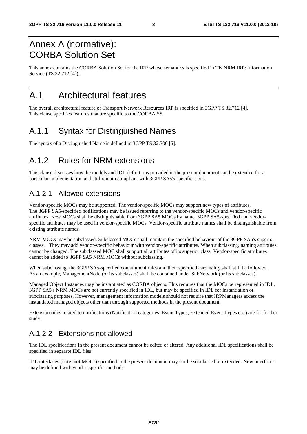# Annex A (normative): CORBA Solution Set

This annex contains the CORBA Solution Set for the IRP whose semantics is specified in TN NRM IRP: Information Service (TS 32.712 [4]).

### A.1 Architectural features

The overall architectural feature of Transport Network Resources IRP is specified in 3GPP TS 32.712 [4]. This clause specifies features that are specific to the CORBA SS.

### A.1.1 Syntax for Distinguished Names

The syntax of a Distinguished Name is defined in 3GPP TS 32.300 [5].

### A.1.2 Rules for NRM extensions

This clause discusses how the models and IDL definitions provided in the present document can be extended for a particular implementation and still remain compliant with 3GPP SA5's specifications.

### A.1.2.1 Allowed extensions

Vendor-specific MOCs may be supported. The vendor-specific MOCs may support new types of attributes. The 3GPP SA5-specified notifications may be issued referring to the vendor-specific MOCs and vendor-specific attributes. New MOCs shall be distinguishable from 3GPP SA5 MOCs by name. 3GPP SA5-specified and vendorspecific attributes may be used in vendor-specific MOCs. Vendor-specific attribute names shall be distinguishable from existing attribute names.

NRM MOCs may be subclassed. Subclassed MOCs shall maintain the specified behaviour of the 3GPP SA5's superior classes. They may add vendor-specific behaviour with vendor-specific attributes. When subclassing, naming attributes cannot be changed. The subclassed MOC shall support all attributes of its superior class. Vendor-specific attributes cannot be added to 3GPP SA5 NRM MOCs without subclassing.

When subclassing, the 3GPP SA5-specified containment rules and their specified cardinality shall still be followed. As an example, ManagementNode (or its subclasses) shall be contained under SubNetwork (or its subclasses).

Managed Object Instances may be instantiated as CORBA objects. This requires that the MOCs be represented in IDL. 3GPP SA5's NRM MOCs are not currently specified in IDL, but may be specified in IDL for instantiation or subclassing purposes. However, management information models should not require that IRPManagers access the instantiated managed objects other than through supported methods in the present document.

Extension rules related to notifications (Notification categories, Event Types, Extended Event Types etc.) are for further study.

### A.1.2.2 Extensions not allowed

The IDL specifications in the present document cannot be edited or altered. Any additional IDL specifications shall be specified in separate IDL files.

IDL interfaces (note: not MOCs) specified in the present document may not be subclassed or extended. New interfaces may be defined with vendor-specific methods.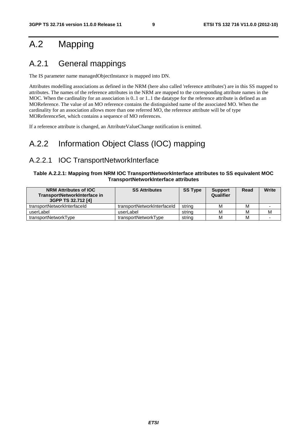# A.2 Mapping

### A.2.1 General mappings

The IS parameter name managedObjectInstance is mapped into DN.

Attributes modelling associations as defined in the NRM (here also called 'reference attributes') are in this SS mapped to attributes. The names of the reference attributes in the NRM are mapped to the corresponding attribute names in the MOC. When the cardinality for an association is 0..1 or 1..1 the datatype for the reference attribute is defined as an MOReference. The value of an MO reference contains the distinguished name of the associated MO. When the cardinality for an association allows more than one referred MO, the reference attribute will be of type MOReferenceSet, which contains a sequence of MO references.

If a reference attribute is changed, an AttributeValueChange notification is emitted.

### A.2.2 Information Object Class (IOC) mapping

#### A.2.2.1 IOC TransportNetworkInterface

#### **Table A.2.2.1: Mapping from NRM IOC TransportNetworkInterface attributes to SS equivalent MOC TransportNetworkInterface attributes**

| <b>NRM Attributes of IOC</b><br>TransportNetworkInterface in<br>3GPP TS 32.712 [4] | <b>SS Attributes</b>        | <b>SS Type</b> | <b>Support</b><br>Qualifier | Read | Write |
|------------------------------------------------------------------------------------|-----------------------------|----------------|-----------------------------|------|-------|
| transportNetworkInterfaceId                                                        | transportNetworkInterfaceId | string         | м                           | м    |       |
| userLabel                                                                          | userLabel                   | string         | м                           | М    | M     |
| transportNetworkType                                                               | transportNetworkType        | string         | M                           | M    |       |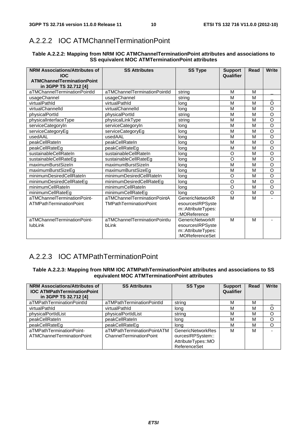### A.2.2.2 IOC ATMChannelTerminationPoint

| Table A.2.2.2: Mapping from NRM IOC ATMChannelTerminationPoint attributes and associations to |  |
|-----------------------------------------------------------------------------------------------|--|
| <b>SS equivalent MOC ATMTermination Point attributes</b>                                      |  |

| <b>NRM Associations/Attributes of</b><br><b>IOC</b><br><b>ATMChannelTerminationPoint</b> | <b>SS Attributes</b>          | <b>SS Type</b>         | <b>Support</b><br>Qualifier | <b>Read</b> | Write              |
|------------------------------------------------------------------------------------------|-------------------------------|------------------------|-----------------------------|-------------|--------------------|
| in 3GPP TS 32.712 [4]                                                                    |                               |                        |                             |             |                    |
| aTMChannelTerminationPointId                                                             | aTMChannelTerminationPointId  | strina                 | M                           | M           |                    |
| usageChannel                                                                             | usageChannel                  | string                 | M                           | M           |                    |
| virtualPathId                                                                            | virtualPathId                 | long                   | M                           | M           | O                  |
| virtualChannelId                                                                         | virtualChannelId              | long                   | M                           | M           | $\circ$            |
| physicalPortId                                                                           | physicalPortId                | strina                 | M                           | M           | $\overline{\rm o}$ |
| physicalInterfaceType                                                                    | physicalLinkType              | string                 | M                           | M           | O                  |
| serviceCategoryIn                                                                        | serviceCategoryIn             | long                   | M                           | M           | $\overline{\circ}$ |
| serviceCategoryEg                                                                        | serviceCategoryEg             | long                   | M                           | M           | O                  |
| usedAAL                                                                                  | usedAAL                       | long                   | M                           | M           | $\overline{\circ}$ |
| peakCellRateIn                                                                           | peakCellRateIn                | long                   | M                           | M           | $\overline{\circ}$ |
| peakCellRateEq                                                                           | peakCellRateEq                | long                   | M                           | M           | $\overline{\rm o}$ |
| sustainableCellRateIn                                                                    | sustainableCellRateIn         | long                   | $\circ$                     | M           | $\overline{\rm o}$ |
| sustainableCellRateEg                                                                    | sustainableCellRateEg         | long                   | $\circ$                     | M           | $\overline{\rm o}$ |
| maximumBurstSizeIn                                                                       | maximumBurstSizeIn            | long                   | M                           | M           | $\overline{\circ}$ |
| maximumBurstSizeEg                                                                       | maximumBurstSizeEg            | long                   | M                           | M           | O                  |
| minimumDesiredCellRateIn                                                                 | minimumDesiredCellRateIn      | long                   | $\circ$                     | M           | $\overline{\rm o}$ |
| minimumDesiredCellRateEg                                                                 | minimumDesiredCellRateEg      | long                   | $\circ$                     | M           | $\overline{\circ}$ |
| minimumCellRateIn                                                                        | minimumCellRateIn             | long                   | $\circ$                     | M           | $\overline{\rm o}$ |
| minimumCellRateEg                                                                        | minimumCellRateEg             | lona                   | $\circ$                     | M           | $\overline{\rm o}$ |
| aTMChannelTerminationPoint-                                                              | aTMChannelTerminationPointA   | <b>GenericNetworkR</b> | M                           | M           |                    |
| <b>ATMPathTerminationPoint</b>                                                           | <b>TMPathTerminationPoint</b> | esourcesIRPSyste       |                             |             |                    |
|                                                                                          |                               | m::AttributeTypes:     |                             |             |                    |
|                                                                                          |                               | :MOReference           |                             |             |                    |
| aTMChannelTerminationPoint-                                                              | aTMChannelTerminationPointlu  | GenericNetworkR        | M                           | M           |                    |
| <b>lubLink</b>                                                                           | bLink                         | esourcesIRPSyste       |                             |             |                    |
|                                                                                          |                               | m::AttributeTypes:     |                             |             |                    |
|                                                                                          |                               | :MOReferenceSet        |                             |             |                    |

### A.2.2.3 IOC ATMPathTerminationPoint

#### **Table A.2.2.3: Mapping from NRM IOC ATMPathTerminationPoint attributes and associations to SS equivalent MOC ATMTerminationPoint attributes**

| <b>NRM Associations/Attributes of</b><br><b>IOC ATMPathTerminationPoint</b><br>in 3GPP TS 32.712 [4] | <b>SS Attributes</b>                                  | <b>SS Type</b>                                                                      | <b>Support</b><br>Qualifier | Read | <b>Write</b> |
|------------------------------------------------------------------------------------------------------|-------------------------------------------------------|-------------------------------------------------------------------------------------|-----------------------------|------|--------------|
| aTMPathTerminationPointId                                                                            | aTMPathTerminationPointId                             | string                                                                              | M                           | м    |              |
| virtualPathId                                                                                        | virtualPathId                                         | long                                                                                | м                           | м    |              |
| physicalPortIdList                                                                                   | physicalPortIdList                                    | string                                                                              | м                           | м    |              |
| peakCellRateIn                                                                                       | peakCellRateIn                                        | long                                                                                | м                           | м    |              |
| peakCellRateEg                                                                                       | peakCellRateEq                                        | lona                                                                                | M                           | м    |              |
| aTMPathTerminationPoint-<br>ATMChannelTerminationPoint                                               | aTMPathTerminationPointATM<br>ChannelTerminationPoint | <b>GenericNetworkRes</b><br>ourcesIRPSystem::<br>AttributeTypes::MO<br>ReferenceSet | М                           | м    |              |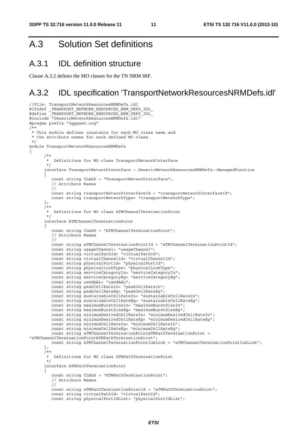### A.3 Solution Set definitions

### A.3.1 IDL definition structure

Clause A.3.2 defines the MO classes for the TN NRM IRP.

### A.3.2 IDL specification 'TransportNetworkResourcesNRMDefs.idl'

```
//File: TransportNetworkResourcesNRMDefs.idl 
#ifndef _TRANSPORT_NETWORK_RESOURCES_NRM_DEFS_IDL_ 
#define _TRANSPORT_NETWORK_RESOURCES_NRM_DEFS_IDL_ 
#include "GenericNetworkResourcesNRMDefs.idl" 
#pragma prefix "3gppsa5.org" 
/** 
 * This module defines constants for each MO class name and 
  * the attribute names for each defined MO class. 
  */ 
module TransportNetworkResourcesNRMDefs 
{ 
 /** 
        * Definitions for MO class TransportNetworkInterface 
        */ 
      interface TransportNetworkInterface : GenericNetworkResourcesNRMDefs::ManagedFunction
\{ const string CLASS = "TransportNetworkInterface"; 
          // Attribute Names 
          // 
          const string transportNetworkInterfaceId = "transportNetworkInterfaceId"; 
          const string transportNetworkType= "transportNetworkType"; 
       }; 
       /** 
        * Definitions for MO class ATMChannelTerminationPoint 
        */ 
       interface ATMChannelTerminationPoint 
       { 
          const string CLASS = "ATMChannelTerminationPoint"; 
          // Attribute Names 
          // 
          const string aTMChannelTerminationPointId = "aTMChannelTerminationPointId"; 
          const string usageChannel= "usageChannel"; 
          const string virtualPathId= "virtualPathId"; 
          const string virtualChannelId= "virtualChannelId"; 
          const string physicalPortId= "physicalPortId"; 
          const string physicalLinkType= "physicalLinkType"; 
          const string serviceCategoryIn= "serviceCategoryIn"; 
          const string serviceCategoryEg= "serviceCategoryEg"; 
          const string usedAAL= "usedAAL"; 
 const string peakCellRateIn= "peakCellRateIn"; 
 const string peakCellRateEg= "peakCellRateEg"; 
          const string sustainableCellRateIn= "sustainableCellRateIn"; 
          const string sustainableCellRateEg= "sustainableCellRateEg"; 
          const string maximumBurstSizeIn= "maximumBurstSizeIn"; 
          const string maximumBurstSizeEg= "maximumBurstSizeEg"; 
          const string minimumDesiredCellRateIn= "minimumDesiredCellRateIn"; 
          const string minimumDesiredCellRateEg= "minimumDesiredCellRateEg"; 
          const string minimumCellRateIn= "minimumCellRateIn"; 
          const string minimumCellRateEg= "minimumCellRateEg"; 
          const string aTMChannelTerminationPointATMPathTerminationPoint = 
"aTMChannelTerminationPointATMPathTerminationPoint"; 
          const string aTMChannelTerminationPointIubLink = "aTMChannelTerminationPointIubLink"; 
       }; 
      7 * * * Definitions for MO class ATMPathTerminationPoint 
        */ 
       interface ATMPathTerminationPoint 
\left\{ \begin{array}{ccc} 1 & 1 \\ 1 & 1 \end{array} \right\} const string CLASS = "ATMPathTerminationPoint"; 
          // Attribute Names 
          // 
         const string aTMPathTerminationPointId = "aTMPathTerminationPoint";
          const string virtualPathId= "virtualPathId"; 
         const string physicalPortIdList= "physicalPortIdList";
```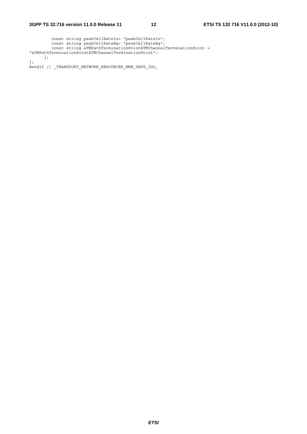```
 const string peakCellRateIn= "peakCellRateIn"; 
 const string peakCellRateEg= "peakCellRateEg"; 
 const string aTMPathTerminationPointATMChannelTerminationPoint = 
"aTMPathTerminationPointATMChannelTerminationPoint"; 
     }; 
}; 
#endif // _TRANSPORT_NETWORK_RESOURCES_NRM_DEFS_IDL_
```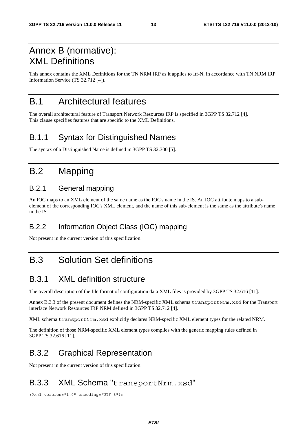# Annex B (normative): XML Definitions

This annex contains the XML Definitions for the TN NRM IRP as it applies to Itf-N, in accordance with TN NRM IRP Information Service (TS 32.712 [4]).

### B.1 Architectural features

The overall architectural feature of Transport Network Resources IRP is specified in 3GPP TS 32.712 [4]. This clause specifies features that are specific to the XML Definitions.

### B.1.1 Syntax for Distinguished Names

The syntax of a Distinguished Name is defined in 3GPP TS 32.300 [5].

### B.2 Mapping

#### B.2.1 General mapping

An IOC maps to an XML element of the same name as the IOC's name in the IS. An IOC attribute maps to a subelement of the corresponding IOC's XML element, and the name of this sub-element is the same as the attribute's name in the IS.

#### B.2.2 Information Object Class (IOC) mapping

Not present in the current version of this specification.

# B.3 Solution Set definitions

### B.3.1 XML definition structure

The overall description of the file format of configuration data XML files is provided by 3GPP TS 32.616 [11].

Annex B.3.3 of the present document defines the NRM-specific XML schema transportNrm.xsd for the Transport interface Network Resources IRP NRM defined in 3GPP TS 32.712 [4].

XML schema transportNrm.xsd explicitly declares NRM-specific XML element types for the related NRM.

The definition of those NRM-specific XML element types complies with the generic mapping rules defined in 3GPP TS 32.616 [11].

### B.3.2 Graphical Representation

Not present in the current version of this specification.

### B.3.3 XML Schema "transportNrm.xsd"

<?xml version="1.0" encoding="UTF-8"?>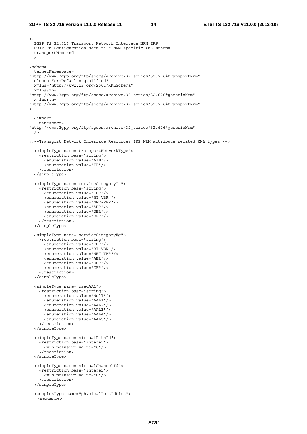#### **3GPP TS 32.716 version 11.0.0 Release 11 14 ETSI TS 132 716 V11.0.0 (2012-10)**

```
<! - -
   3GPP TS 32.716 Transport Network Interface NRM IRP 
  Bulk CM Configuration data file NRM-specific XML schema 
  transportNrm.xsd 
--> 
<schema 
   targetNamespace= 
"http://www.3gpp.org/ftp/specs/archive/32_series/32.716#transportNrm" 
   elementFormDefault="qualified" 
  xmlns="http://www.w3.org/2001/XMLSchema" 
   xmlns:xn= 
"http://www.3gpp.org/ftp/specs/archive/32_series/32.626#genericNrm" 
   xmlns:tn= 
"http://www.3gpp.org/ftp/specs/archive/32_series/32.716#transportNrm" 
> 
   <import 
    namespace= 
"http://www.3gpp.org/ftp/specs/archive/32_series/32.626#genericNrm" 
 /<!--Transport Network Interface Resources IRP NRM attribute related XML types --> 
   <simpleType name="transportNetworkType"> 
     <restriction base="string"> 
       <enumeration value="ATM"/> 
       <enumeration value="IP"/> 
     </restriction> 
   </simpleType> 
   <simpleType name="serviceCategoryIn"> 
     <restriction base="string"> 
       <enumeration value="CBR"/> 
       <enumeration value="RT-VBR"/> 
       <enumeration value="NRT-VBR"/> 
       <enumeration value="ABR"/> 
       <enumeration value="UBR"/> 
       <enumeration value="GFR"/> 
     </restriction> 
   </simpleType> 
   <simpleType name="serviceCategoryEg"> 
     <restriction base="string"> 
       <enumeration value="CBR"/> 
       <enumeration value="RT-VBR"/> 
       <enumeration value="NRT-VBR"/> 
       <enumeration value="ABR"/> 
       <enumeration value="UBR"/> 
       <enumeration value="GFR"/> 
     </restriction> 
   </simpleType> 
   <simpleType name="usedAAL"> 
     <restriction base="string"> 
       <enumeration value="Null"/> 
       <enumeration value="AAL1"/> 
       <enumeration value="AAL2"/> 
       <enumeration value="AAL3"/> 
       <enumeration value="AAL4"/> 
       <enumeration value="AAL5"/> 
     </restriction> 
   </simpleType> 
   <simpleType name="virtualPathId"> 
     <restriction base="integer"> 
       <minInclusive value="0"/> 
     </restriction> 
   </simpleType> 
   <simpleType name="virtualChannelId"> 
     <restriction base="integer"> 
       <minInclusive value="0"/> 
     </restriction> 
   </simpleType> 
   <complexType name="physicalPortIdList"> 
    <sequence>
```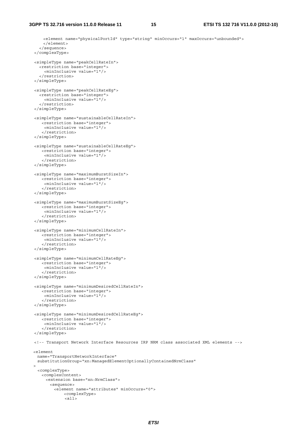```
 <element name="physicalPortId" type="string" minOccurs="1" maxOccurs="unbounded"> 
      </element> 
     </sequence> 
  </complexType> 
  <simpleType name="peakCellRateIn"> 
     <restriction base="integer"> 
       <minInclusive value="1"/> 
     </restriction> 
  </simpleType> 
  <simpleType name="peakCellRateEg"> 
     <restriction base="integer"> 
       <minInclusive value="1"/> 
     </restriction> 
  </simpleType> 
  <simpleType name="sustainableCellRateIn"> 
      <restriction base="integer"> 
       <minInclusive value="1"/> 
      </restriction> 
  </simpleType> 
  <simpleType name="sustainableCellRateEg"> 
      <restriction base="integer"> 
       <minInclusive value="1"/> 
      </restriction> 
  </simpleType> 
  <simpleType name="maximumBurstSizeIn"> 
      <restriction base="integer"> 
       <minInclusive value="1"/> 
      </restriction> 
  </simpleType> 
  <simpleType name="maximumBurstSizeEg"> 
      <restriction base="integer"> 
       <minInclusive value="1"/> 
      </restriction> 
  </simpleType> 
  <simpleType name="minimumCellRateIn"> 
      <restriction base="integer"> 
       <minInclusive value="1"/> 
      </restriction> 
  </simpleType> 
  <simpleType name="minimumCellRateEg"> 
      <restriction base="integer"> 
      <minInclusive value="1"/> 
      </restriction> 
  </simpleType> 
  <simpleType name="minimumDesiredCellRateIn"> 
     <restriction base="integer"> 
       <minInclusive value="1"/> 
      </restriction> 
  </simpleType> 
  <simpleType name="minimumDesiredCellRateEg"> 
      <restriction base="integer"> 
       <minInclusive value="1"/> 
      </restriction> 
  </simpleType> 
  <!-- Transport Network Interface Resources IRP NRM class associated XML elements --> 
  <element 
    name="TransportNetworkInterface" 
    substitutionGroup="xn:ManagedElementOptionallyContainedNrmClass" 
\Rightarrow <complexType> 
      <complexContent> 
       <extension base="xn:NrmClass"> 
         <sequence> 
           <element name="attributes" minOccurs="0"> 
               <complexType> 
                <all>
```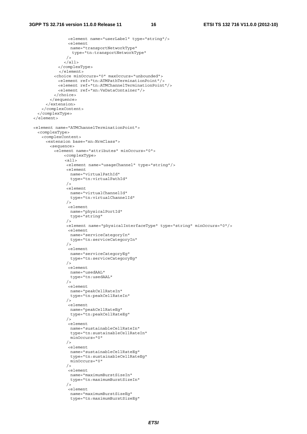```
 <element name="userLabel" type="string"/> 
                <element 
                name="transportNetworkType" 
                 type="tn:transportNetworkType" 
              / </all> 
            </complexType> 
            </element> 
          <choice minOccurs="0" maxOccurs="unbounded"> 
           <element ref="tn:ATMPathTerminationPoint"/> 
           <element ref="tn:ATMChannelTerminationPoint"/> 
           <element ref="xn:VsDataContainer"/> 
          </choice> 
        </sequence> 
      </extension> 
    </complexContent> 
  </complexType> 
 </element> 
 <element name="ATMChannelTerminationPoint"> 
  <complexType> 
    <complexContent> 
      <extension base="xn:NrmClass"> 
        <sequence> 
          <element name="attributes" minOccurs="0"> 
              <complexType> 
              <all> 
               <element name="usageChannel" type="string"/> 
               <element 
                name="virtualPathId" 
                 type="tn:virtualPathId" 
              / <element 
                name="virtualChannelId" 
                 type="tn:virtualChannelId" 
              / <element 
                name="physicalPortId" 
                type="string" 
              / <element name="physicalInterfaceType" type="string" minOccurs="0"/> 
                <element 
                name="serviceCategoryIn" 
                 type="tn:serviceCategoryIn" 
              / <element 
                name="serviceCategoryEg" 
                type="tn:serviceCategoryEg" 
              /.<br><element
                name="usedAAL" 
                 type="tn:usedAAL" 
               /> 
                <element 
                name="peakCellRateIn" 
                type="tn:peakCellRateIn" 
               /> 
                <element 
                name="peakCellRateEg" 
                 type="tn:peakCellRateEg" 
              / <element 
                name="sustainableCellRateIn" 
                 type="tn:sustainableCellRateIn" 
                minOccurs="0" 
              / <element 
                name="sustainableCellRateEg" 
                type="tn:sustainableCellRateEg" 
                minOccurs="0" 
              / <element 
                name="maximumBurstSizeIn" 
                 type="tn:maximumBurstSizeIn" 
              / <element 
                name="maximumBurstSizeEg" 
                 type="tn:maximumBurstSizeEg"
```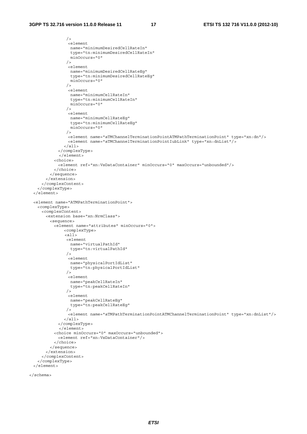```
 /> 
                <element 
                 name="minimumDesiredCellRateIn" 
                 type="tn:minimumDesiredCellRateIn" 
                 minOccurs="0" 
               / <element 
                 name="minimumDesiredCellRateEg" 
                 type="tn:minimumDesiredCellRateEg" 
                 minOccurs="0" 
               / <element 
                 name="minimumCellRateIn" 
                 type="tn:minimumCellRateIn" 
                 minOccurs="0" 
               / <element 
                 name="minimumCellRateEg" 
                 type="tn:minimumCellRateEg" 
                 minOccurs="0" 
               / <element name="aTMChannelTerminationPointATMPathTerminationPoint" type="xn:dn"/> 
                <element name="aTMChannelTerminationPointIubLink" type="xn:dnList"/> 
               </all> 
            </complexType> 
            </element> 
          <choice> 
            <element ref="xn:VsDataContainer" minOccurs="0" maxOccurs="unbounded"/> 
          </choice> 
        </sequence> 
      </extension> 
     </complexContent> 
  </complexType> 
 </element> 
 <element name="ATMPathTerminationPoint"> 
  <complexType> 
    <complexContent> 
      <extension base="xn:NrmClass"> 
        <sequence> 
          <element name="attributes" minOccurs="0"> 
              <complexType> 
              \epsilonall\sqrt{ } <element 
                name="virtualPathId" 
                 type="tn:virtualPathId" 
                /> 
                <element 
                 name="physicalPortIdList" 
                 type="tn:physicalPortIdList" 
               / <element 
                 name="peakCellRateIn" 
                 type="tn:peakCellRateIn" 
              /.<br><element
                 name="peakCellRateEg" 
                 type="tn:peakCellRateEg" 
                /> 
                <element name="aTMPathTerminationPointATMChannelTerminationPoint" type="xn:dnList"/> 
             \langleall> </complexType> 
            </element> 
          <choice minOccurs="0" maxOccurs="unbounded"> 
            <element ref="xn:VsDataContainer"/> 
          </choice> 
        </sequence> 
      </extension> 
    </complexContent> 
   </complexType> 
 </element>
```
</schema>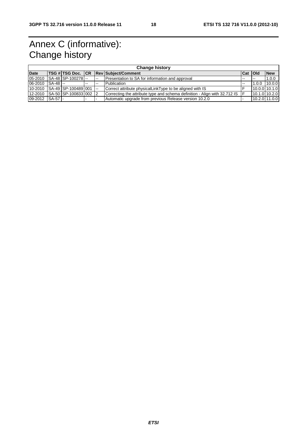# Annex C (informative): Change history

|                 | <b>Change history</b> |                                     |        |        |                                                                            |                |        |               |  |
|-----------------|-----------------------|-------------------------------------|--------|--------|----------------------------------------------------------------------------|----------------|--------|---------------|--|
| <b>Date</b>     |                       |                                     |        |        | <b>TSG #TSG Doc. CR Rev Subject/Comment</b>                                | <b>Cat Old</b> |        | <b>New</b>    |  |
| 05-2010         |                       | SA-48 SP-100278-                    |        | $\sim$ | Presentation to SA for information and approval                            | $-$            | $\sim$ | 1.0.0         |  |
| 06-2010 SA-48   |                       |                                     | $\sim$ | $- -$  | Publication                                                                |                | 1.0.0  | 10.0.0        |  |
|                 |                       | 10-2010 SA-49 SP-100489 001         |        |        | Correct attribute physicalLinkType to be aligned with IS                   |                |        | 10.0.0 10.1.0 |  |
|                 |                       | 12-2010  SA-50  SP-100833   002   2 |        |        | Correcting the attribute type and schema definition - Align with 32.712 IS |                |        | 10.1.0 10.2.0 |  |
| 09-2012 SA-57 - |                       |                                     |        |        | Automatic upgrade from previous Release version 10.2.0                     |                |        | 10.2.0 11.0.0 |  |